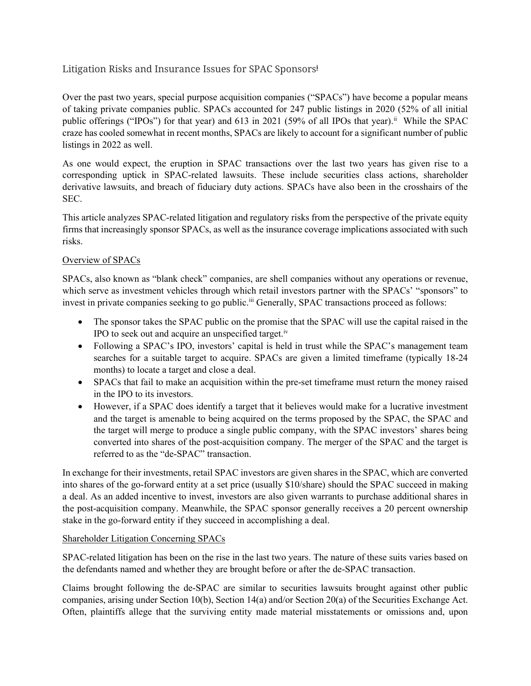# Litigation Risks and Insurance Issues for SPAC Sponsors<sup>i</sup>

Over the past two years, special purpose acquisition companies ("SPACs") have become a popular means of taking private companies public. SPACs accounted for 247 public listings in 2020 (52% of all initial public offerings ("IPOs") for that year) and 613 in 2021 (59% of all IPOs that year).<sup>ii</sup> While the SPAC craze has cooled somewhat in recent months, SPACs are likely to account for a significant number of public listings in 2022 as well.

As one would expect, the eruption in SPAC transactions over the last two years has given rise to a corresponding uptick in SPAC-related lawsuits. These include securities class actions, shareholder derivative lawsuits, and breach of fiduciary duty actions. SPACs have also been in the crosshairs of the SEC.

This article analyzes SPAC-related litigation and regulatory risks from the perspective of the private equity firms that increasingly sponsor SPACs, as well as the insurance coverage implications associated with such risks.

## Overview of SPACs

SPACs, also known as "blank check" companies, are shell companies without any operations or revenue, which serve as investment vehicles through which retail investors partner with the SPACs' "sponsors" to invest in private companies seeking to go public.<sup>iii</sup> Generally, SPAC transactions proceed as follows:

- The sponsor takes the SPAC public on the promise that the SPAC will use the capital raised in the IPO to seek out and acquire an unspecified target.<sup>iv</sup>
- Following a SPAC's IPO, investors' capital is held in trust while the SPAC's management team searches for a suitable target to acquire. SPACs are given a limited timeframe (typically 18-24 months) to locate a target and close a deal.
- SPACs that fail to make an acquisition within the pre-set timeframe must return the money raised in the IPO to its investors.
- However, if a SPAC does identify a target that it believes would make for a lucrative investment and the target is amenable to being acquired on the terms proposed by the SPAC, the SPAC and the target will merge to produce a single public company, with the SPAC investors' shares being converted into shares of the post-acquisition company. The merger of the SPAC and the target is referred to as the "de-SPAC" transaction.

In exchange for their investments, retail SPAC investors are given shares in the SPAC, which are converted into shares of the go-forward entity at a set price (usually \$10/share) should the SPAC succeed in making a deal. As an added incentive to invest, investors are also given warrants to purchase additional shares in the post-acquisition company. Meanwhile, the SPAC sponsor generally receives a 20 percent ownership stake in the go-forward entity if they succeed in accomplishing a deal.

### Shareholder Litigation Concerning SPACs

SPAC-related litigation has been on the rise in the last two years. The nature of these suits varies based on the defendants named and whether they are brought before or after the de-SPAC transaction.

Claims brought following the de-SPAC are similar to securities lawsuits brought against other public companies, arising under Section 10(b), Section 14(a) and/or Section 20(a) of the Securities Exchange Act. Often, plaintiffs allege that the surviving entity made material misstatements or omissions and, upon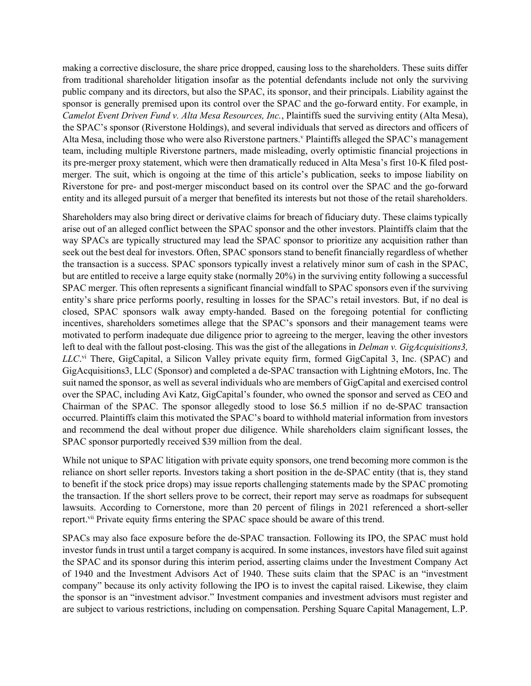making a corrective disclosure, the share price dropped, causing loss to the shareholders. These suits differ from traditional shareholder litigation insofar as the potential defendants include not only the surviving public company and its directors, but also the SPAC, its sponsor, and their principals. Liability against the sponsor is generally premised upon its control over the SPAC and the go-forward entity. For example, in Camelot Event Driven Fund v. Alta Mesa Resources, Inc., Plaintiffs sued the surviving entity (Alta Mesa), the SPAC's sponsor (Riverstone Holdings), and several individuals that served as directors and officers of Alta Mesa, including those who were also Riverstone partners.<sup>v</sup> Plaintiffs alleged the SPAC's management team, including multiple Riverstone partners, made misleading, overly optimistic financial projections in its pre-merger proxy statement, which were then dramatically reduced in Alta Mesa's first 10-K filed postmerger. The suit, which is ongoing at the time of this article's publication, seeks to impose liability on Riverstone for pre- and post-merger misconduct based on its control over the SPAC and the go-forward entity and its alleged pursuit of a merger that benefited its interests but not those of the retail shareholders.

Shareholders may also bring direct or derivative claims for breach of fiduciary duty. These claims typically arise out of an alleged conflict between the SPAC sponsor and the other investors. Plaintiffs claim that the way SPACs are typically structured may lead the SPAC sponsor to prioritize any acquisition rather than seek out the best deal for investors. Often, SPAC sponsors stand to benefit financially regardless of whether the transaction is a success. SPAC sponsors typically invest a relatively minor sum of cash in the SPAC, but are entitled to receive a large equity stake (normally 20%) in the surviving entity following a successful SPAC merger. This often represents a significant financial windfall to SPAC sponsors even if the surviving entity's share price performs poorly, resulting in losses for the SPAC's retail investors. But, if no deal is closed, SPAC sponsors walk away empty-handed. Based on the foregoing potential for conflicting incentives, shareholders sometimes allege that the SPAC's sponsors and their management teams were motivated to perform inadequate due diligence prior to agreeing to the merger, leaving the other investors left to deal with the fallout post-closing. This was the gist of the allegations in *Delman v. GigAcquisitions3*, LLC.<sup>vi</sup> There, GigCapital, a Silicon Valley private equity firm, formed GigCapital 3, Inc. (SPAC) and GigAcquisitions3, LLC (Sponsor) and completed a de-SPAC transaction with Lightning eMotors, Inc. The suit named the sponsor, as well as several individuals who are members of GigCapital and exercised control over the SPAC, including Avi Katz, GigCapital's founder, who owned the sponsor and served as CEO and Chairman of the SPAC. The sponsor allegedly stood to lose \$6.5 million if no de-SPAC transaction occurred. Plaintiffs claim this motivated the SPAC's board to withhold material information from investors and recommend the deal without proper due diligence. While shareholders claim significant losses, the SPAC sponsor purportedly received \$39 million from the deal.

While not unique to SPAC litigation with private equity sponsors, one trend becoming more common is the reliance on short seller reports. Investors taking a short position in the de-SPAC entity (that is, they stand to benefit if the stock price drops) may issue reports challenging statements made by the SPAC promoting the transaction. If the short sellers prove to be correct, their report may serve as roadmaps for subsequent lawsuits. According to Cornerstone, more than 20 percent of filings in 2021 referenced a short-seller report.<sup>vii</sup> Private equity firms entering the SPAC space should be aware of this trend.

SPACs may also face exposure before the de-SPAC transaction. Following its IPO, the SPAC must hold investor funds in trust until a target company is acquired. In some instances, investors have filed suit against the SPAC and its sponsor during this interim period, asserting claims under the Investment Company Act of 1940 and the Investment Advisors Act of 1940. These suits claim that the SPAC is an "investment company" because its only activity following the IPO is to invest the capital raised. Likewise, they claim the sponsor is an "investment advisor." Investment companies and investment advisors must register and are subject to various restrictions, including on compensation. Pershing Square Capital Management, L.P.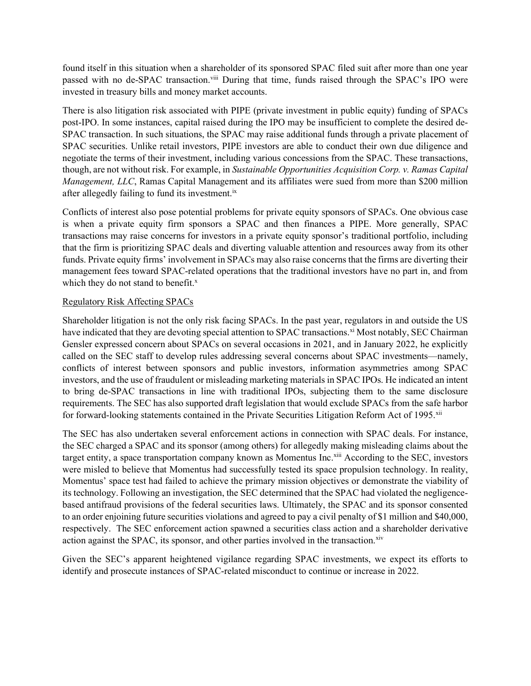found itself in this situation when a shareholder of its sponsored SPAC filed suit after more than one year passed with no de-SPAC transaction.<sup>viii</sup> During that time, funds raised through the SPAC's IPO were invested in treasury bills and money market accounts.

There is also litigation risk associated with PIPE (private investment in public equity) funding of SPACs post-IPO. In some instances, capital raised during the IPO may be insufficient to complete the desired de-SPAC transaction. In such situations, the SPAC may raise additional funds through a private placement of SPAC securities. Unlike retail investors, PIPE investors are able to conduct their own due diligence and negotiate the terms of their investment, including various concessions from the SPAC. These transactions, though, are not without risk. For example, in Sustainable Opportunities Acquisition Corp. v. Ramas Capital Management, LLC, Ramas Capital Management and its affiliates were sued from more than \$200 million after allegedly failing to fund its investment.<sup>ix</sup>

Conflicts of interest also pose potential problems for private equity sponsors of SPACs. One obvious case is when a private equity firm sponsors a SPAC and then finances a PIPE. More generally, SPAC transactions may raise concerns for investors in a private equity sponsor's traditional portfolio, including that the firm is prioritizing SPAC deals and diverting valuable attention and resources away from its other funds. Private equity firms' involvement in SPACs may also raise concerns that the firms are diverting their management fees toward SPAC-related operations that the traditional investors have no part in, and from which they do not stand to benefit. $x$ 

#### Regulatory Risk Affecting SPACs

Shareholder litigation is not the only risk facing SPACs. In the past year, regulators in and outside the US have indicated that they are devoting special attention to SPAC transactions.<sup>xi</sup> Most notably, SEC Chairman Gensler expressed concern about SPACs on several occasions in 2021, and in January 2022, he explicitly called on the SEC staff to develop rules addressing several concerns about SPAC investments—namely, conflicts of interest between sponsors and public investors, information asymmetries among SPAC investors, and the use of fraudulent or misleading marketing materials in SPAC IPOs. He indicated an intent to bring de-SPAC transactions in line with traditional IPOs, subjecting them to the same disclosure requirements. The SEC has also supported draft legislation that would exclude SPACs from the safe harbor for forward-looking statements contained in the Private Securities Litigation Reform Act of 1995.<sup>xii</sup>

The SEC has also undertaken several enforcement actions in connection with SPAC deals. For instance, the SEC charged a SPAC and its sponsor (among others) for allegedly making misleading claims about the target entity, a space transportation company known as Momentus Inc.<sup>xiii</sup> According to the SEC, investors were misled to believe that Momentus had successfully tested its space propulsion technology. In reality, Momentus' space test had failed to achieve the primary mission objectives or demonstrate the viability of its technology. Following an investigation, the SEC determined that the SPAC had violated the negligencebased antifraud provisions of the federal securities laws. Ultimately, the SPAC and its sponsor consented to an order enjoining future securities violations and agreed to pay a civil penalty of \$1 million and \$40,000, respectively. The SEC enforcement action spawned a securities class action and a shareholder derivative action against the SPAC, its sponsor, and other parties involved in the transaction. $x$ iv

Given the SEC's apparent heightened vigilance regarding SPAC investments, we expect its efforts to identify and prosecute instances of SPAC-related misconduct to continue or increase in 2022.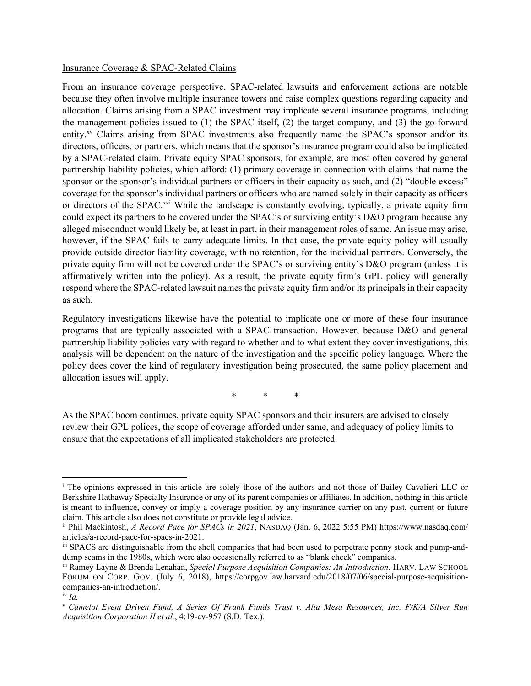#### Insurance Coverage & SPAC-Related Claims

From an insurance coverage perspective, SPAC-related lawsuits and enforcement actions are notable because they often involve multiple insurance towers and raise complex questions regarding capacity and allocation. Claims arising from a SPAC investment may implicate several insurance programs, including the management policies issued to (1) the SPAC itself, (2) the target company, and (3) the go-forward entity.<sup>xv</sup> Claims arising from SPAC investments also frequently name the SPAC's sponsor and/or its directors, officers, or partners, which means that the sponsor's insurance program could also be implicated by a SPAC-related claim. Private equity SPAC sponsors, for example, are most often covered by general partnership liability policies, which afford: (1) primary coverage in connection with claims that name the sponsor or the sponsor's individual partners or officers in their capacity as such, and (2) "double excess" coverage for the sponsor's individual partners or officers who are named solely in their capacity as officers or directors of the SPAC.<sup>xvi</sup> While the landscape is constantly evolving, typically, a private equity firm could expect its partners to be covered under the SPAC's or surviving entity's D&O program because any alleged misconduct would likely be, at least in part, in their management roles of same. An issue may arise, however, if the SPAC fails to carry adequate limits. In that case, the private equity policy will usually provide outside director liability coverage, with no retention, for the individual partners. Conversely, the private equity firm will not be covered under the SPAC's or surviving entity's D&O program (unless it is affirmatively written into the policy). As a result, the private equity firm's GPL policy will generally respond where the SPAC-related lawsuit names the private equity firm and/or its principals in their capacity as such.

Regulatory investigations likewise have the potential to implicate one or more of these four insurance programs that are typically associated with a SPAC transaction. However, because D&O and general partnership liability policies vary with regard to whether and to what extent they cover investigations, this analysis will be dependent on the nature of the investigation and the specific policy language. Where the policy does cover the kind of regulatory investigation being prosecuted, the same policy placement and allocation issues will apply.

\* \* \*

As the SPAC boom continues, private equity SPAC sponsors and their insurers are advised to closely review their GPL polices, the scope of coverage afforded under same, and adequacy of policy limits to ensure that the expectations of all implicated stakeholders are protected.

<sup>&</sup>lt;sup>i</sup> The opinions expressed in this article are solely those of the authors and not those of Bailey Cavalieri LLC or Berkshire Hathaway Specialty Insurance or any of its parent companies or affiliates. In addition, nothing in this article is meant to influence, convey or imply a coverage position by any insurance carrier on any past, current or future claim. This article also does not constitute or provide legal advice.

ii Phil Mackintosh, A Record Pace for SPACs in 2021, NASDAQ (Jan. 6, 2022 5:55 PM) https://www.nasdaq.com/ articles/a-record-pace-for-spacs-in-2021.

iii SPACS are distinguishable from the shell companies that had been used to perpetrate penny stock and pump-anddump scams in the 1980s, which were also occasionally referred to as "blank check" companies.

iii Ramey Layne & Brenda Lenahan, Special Purpose Acquisition Companies: An Introduction, HARV. LAW SCHOOL FORUM ON CORP. GOV. (July 6, 2018), https://corpgov.law.harvard.edu/2018/07/06/special-purpose-acquisitioncompanies-an-introduction/.

 $i \nu$  *Id.* 

v Camelot Event Driven Fund, A Series Of Frank Funds Trust v. Alta Mesa Resources, Inc. F/K/A Silver Run Acquisition Corporation II et al., 4:19-cv-957 (S.D. Tex.).